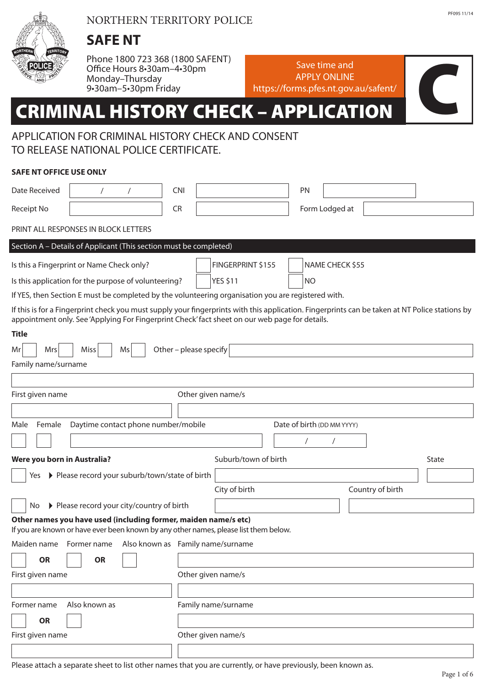

## NORTHERN TERRITORY POLICE

# **SAFE NT**

Phone 1800 723 368 (1800 SAFENT) Office Hours 8•30am–4•30pm Monday–Thursday 9•30am–5•30pm Friday

Save time and APPLY ONLINE <https://forms.pfes.nt.gov.au/safent/>

# **CRIMINAL HISTORY CHECK – APPLY ONLINE**<br> **CRIMINAL HISTORY CHECK – APPLICATION**

### APPLICATION FOR CRIMINAL HISTORY CHECK AND CONSENT TO RELEASE NATIONAL POLICE CERTIFICATE.

#### **SAFE NT OFFICE USE ONLY**

| Date Received               |                                                                                                                                                                                                                                                  | CNI                    |                      | <b>PN</b>                  |                 |                  |              |
|-----------------------------|--------------------------------------------------------------------------------------------------------------------------------------------------------------------------------------------------------------------------------------------------|------------------------|----------------------|----------------------------|-----------------|------------------|--------------|
| Receipt No                  |                                                                                                                                                                                                                                                  | <b>CR</b>              |                      |                            | Form Lodged at  |                  |              |
|                             | PRINT ALL RESPONSES IN BLOCK LETTERS                                                                                                                                                                                                             |                        |                      |                            |                 |                  |              |
|                             | Section A - Details of Applicant (This section must be completed)                                                                                                                                                                                |                        |                      |                            |                 |                  |              |
|                             | Is this a Fingerprint or Name Check only?                                                                                                                                                                                                        |                        | FINGERPRINT \$155    |                            | NAME CHECK \$55 |                  |              |
|                             | Is this application for the purpose of volunteering?                                                                                                                                                                                             |                        | <b>YES \$11</b>      | <b>NO</b>                  |                 |                  |              |
|                             | If YES, then Section E must be completed by the volunteering organisation you are registered with.                                                                                                                                               |                        |                      |                            |                 |                  |              |
|                             | If this is for a Fingerprint check you must supply your fingerprints with this application. Fingerprints can be taken at NT Police stations by<br>appointment only. See 'Applying For Fingerprint Check' fact sheet on our web page for details. |                        |                      |                            |                 |                  |              |
| Title                       |                                                                                                                                                                                                                                                  |                        |                      |                            |                 |                  |              |
| Mr<br>Mrs                   | <b>Miss</b><br>Ms                                                                                                                                                                                                                                | Other - please specify |                      |                            |                 |                  |              |
| Family name/surname         |                                                                                                                                                                                                                                                  |                        |                      |                            |                 |                  |              |
|                             |                                                                                                                                                                                                                                                  |                        |                      |                            |                 |                  |              |
| First given name            |                                                                                                                                                                                                                                                  |                        | Other given name/s   |                            |                 |                  |              |
|                             |                                                                                                                                                                                                                                                  |                        |                      |                            |                 |                  |              |
| Male<br>Female              | Daytime contact phone number/mobile                                                                                                                                                                                                              |                        |                      | Date of birth (DD MM YYYY) |                 |                  |              |
|                             |                                                                                                                                                                                                                                                  |                        |                      |                            | $\sqrt{2}$      |                  |              |
| Were you born in Australia? |                                                                                                                                                                                                                                                  |                        | Suburb/town of birth |                            |                 |                  | <b>State</b> |
| Yes                         | ▶ Please record your suburb/town/state of birth                                                                                                                                                                                                  |                        |                      |                            |                 |                  |              |
|                             |                                                                                                                                                                                                                                                  |                        | City of birth        |                            |                 | Country of birth |              |
| No                          | ▶ Please record your city/country of birth                                                                                                                                                                                                       |                        |                      |                            |                 |                  |              |
|                             | Other names you have used (including former, maiden name/s etc)                                                                                                                                                                                  |                        |                      |                            |                 |                  |              |
|                             | If you are known or have ever been known by any other names, please list them below.                                                                                                                                                             |                        |                      |                            |                 |                  |              |
|                             | Maiden name Former name Also known as Family name/surname                                                                                                                                                                                        |                        |                      |                            |                 |                  |              |
| <b>OR</b>                   | <b>OR</b>                                                                                                                                                                                                                                        |                        |                      |                            |                 |                  |              |
| First given name            |                                                                                                                                                                                                                                                  |                        | Other given name/s   |                            |                 |                  |              |
|                             |                                                                                                                                                                                                                                                  |                        |                      |                            |                 |                  |              |
| Former name                 | Also known as                                                                                                                                                                                                                                    |                        | Family name/surname  |                            |                 |                  |              |
| <b>OR</b>                   |                                                                                                                                                                                                                                                  |                        |                      |                            |                 |                  |              |
| First given name            |                                                                                                                                                                                                                                                  |                        | Other given name/s   |                            |                 |                  |              |
|                             |                                                                                                                                                                                                                                                  |                        |                      |                            |                 |                  |              |

Please attach a separate sheet to list other names that you are currently, or have previously, been known as.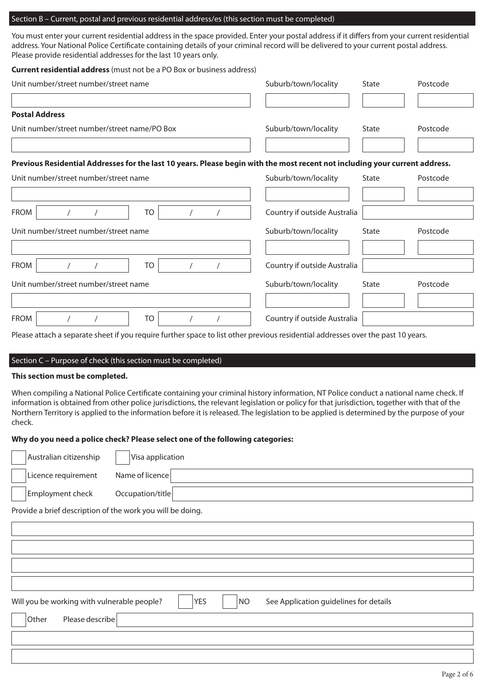#### Section B – Current, postal and previous residential address/es (this section must be completed)

You must enter your current residential address in the space provided. Enter your postal address if it differs from your current residential address. Your National Police Certificate containing details of your criminal record will be delivered to your current postal address. Please provide residential addresses for the last 10 years only.

| <b>Current residential address</b> (must not be a PO Box or business address)                                               |                              |       |          |
|-----------------------------------------------------------------------------------------------------------------------------|------------------------------|-------|----------|
| Unit number/street number/street name                                                                                       | Suburb/town/locality         | State | Postcode |
| <b>Postal Address</b>                                                                                                       |                              |       |          |
| Unit number/street number/street name/PO Box                                                                                | Suburb/town/locality         | State | Postcode |
| Previous Residential Addresses for the last 10 years. Please begin with the most recent not including your current address. |                              |       |          |
| Unit number/street number/street name                                                                                       | Suburb/town/locality         | State | Postcode |
|                                                                                                                             |                              |       |          |
| <b>FROM</b><br>TO                                                                                                           | Country if outside Australia |       |          |
| Unit number/street number/street name                                                                                       | Suburb/town/locality         | State | Postcode |
|                                                                                                                             |                              |       |          |
| <b>FROM</b><br>TO                                                                                                           | Country if outside Australia |       |          |
| Unit number/street number/street name                                                                                       | Suburb/town/locality         | State | Postcode |
|                                                                                                                             |                              |       |          |
| <b>FROM</b><br><b>TO</b>                                                                                                    | Country if outside Australia |       |          |

Please attach a separate sheet if you require further space to list other previous residential addresses over the past 10 years.

#### Section C – Purpose of check (this section must be completed)

#### **This section must be completed.**

When compiling a National Police Certificate containing your criminal history information, NT Police conduct a national name check. If information is obtained from other police jurisdictions, the relevant legislation or policy for that jurisdiction, together with that of the Northern Territory is applied to the information before it is released. The legislation to be applied is determined by the purpose of your check.

**Why do you need a police check? Please select one of the following categories:**

| Australian citizenship                      | Visa application                                           |
|---------------------------------------------|------------------------------------------------------------|
| Licence requirement                         | Name of licence                                            |
| Employment check                            | Occupation/title                                           |
|                                             | Provide a brief description of the work you will be doing. |
|                                             |                                                            |
|                                             |                                                            |
|                                             |                                                            |
|                                             |                                                            |
| Will you be working with vulnerable people? | <b>YES</b><br>NO<br>See Application guidelines for details |
| Please describe<br>Other                    |                                                            |
|                                             |                                                            |
|                                             |                                                            |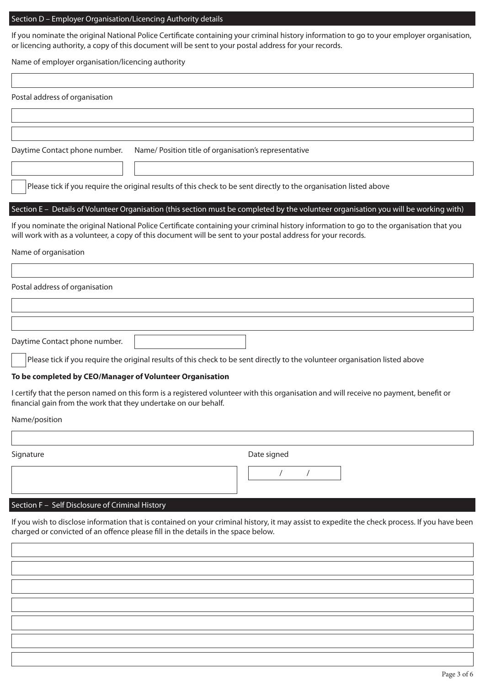#### Section D – Employer Organisation/Licencing Authority details

If you nominate the original National Police Certificate containing your criminal history information to go to your employer organisation, or licencing authority, a copy of this document will be sent to your postal address for your records.

Name of employer organisation/licencing authority

| Postal address of organisation                                                    |                                                       |                                                                                                                                                                                                                                                          |
|-----------------------------------------------------------------------------------|-------------------------------------------------------|----------------------------------------------------------------------------------------------------------------------------------------------------------------------------------------------------------------------------------------------------------|
|                                                                                   |                                                       |                                                                                                                                                                                                                                                          |
|                                                                                   |                                                       |                                                                                                                                                                                                                                                          |
| Daytime Contact phone number.                                                     | Name/ Position title of organisation's representative |                                                                                                                                                                                                                                                          |
|                                                                                   |                                                       |                                                                                                                                                                                                                                                          |
|                                                                                   |                                                       | Please tick if you require the original results of this check to be sent directly to the organisation listed above                                                                                                                                       |
|                                                                                   |                                                       | Section E - Details of Volunteer Organisation (this section must be completed by the volunteer organisation you will be working with)                                                                                                                    |
|                                                                                   |                                                       | If you nominate the original National Police Certificate containing your criminal history information to go to the organisation that you<br>will work with as a volunteer, a copy of this document will be sent to your postal address for your records. |
| Name of organisation                                                              |                                                       |                                                                                                                                                                                                                                                          |
|                                                                                   |                                                       |                                                                                                                                                                                                                                                          |
| Postal address of organisation                                                    |                                                       |                                                                                                                                                                                                                                                          |
|                                                                                   |                                                       |                                                                                                                                                                                                                                                          |
|                                                                                   |                                                       |                                                                                                                                                                                                                                                          |
| Daytime Contact phone number.                                                     |                                                       |                                                                                                                                                                                                                                                          |
|                                                                                   |                                                       | Please tick if you require the original results of this check to be sent directly to the volunteer organisation listed above                                                                                                                             |
| To be completed by CEO/Manager of Volunteer Organisation                          |                                                       |                                                                                                                                                                                                                                                          |
| financial gain from the work that they undertake on our behalf.                   |                                                       | I certify that the person named on this form is a registered volunteer with this organisation and will receive no payment, benefit or                                                                                                                    |
| Name/position                                                                     |                                                       |                                                                                                                                                                                                                                                          |
|                                                                                   |                                                       |                                                                                                                                                                                                                                                          |
| Signature                                                                         |                                                       | Date signed                                                                                                                                                                                                                                              |
|                                                                                   |                                                       |                                                                                                                                                                                                                                                          |
|                                                                                   |                                                       |                                                                                                                                                                                                                                                          |
| Section F - Self Disclosure of Criminal History                                   |                                                       |                                                                                                                                                                                                                                                          |
|                                                                                   |                                                       | If you wish to disclose information that is contained on your criminal history, it may assist to expedite the check process. If you have been                                                                                                            |
| charged or convicted of an offence please fill in the details in the space below. |                                                       |                                                                                                                                                                                                                                                          |
|                                                                                   |                                                       |                                                                                                                                                                                                                                                          |
|                                                                                   |                                                       |                                                                                                                                                                                                                                                          |
|                                                                                   |                                                       |                                                                                                                                                                                                                                                          |
|                                                                                   |                                                       |                                                                                                                                                                                                                                                          |
|                                                                                   |                                                       |                                                                                                                                                                                                                                                          |
|                                                                                   |                                                       |                                                                                                                                                                                                                                                          |
|                                                                                   |                                                       |                                                                                                                                                                                                                                                          |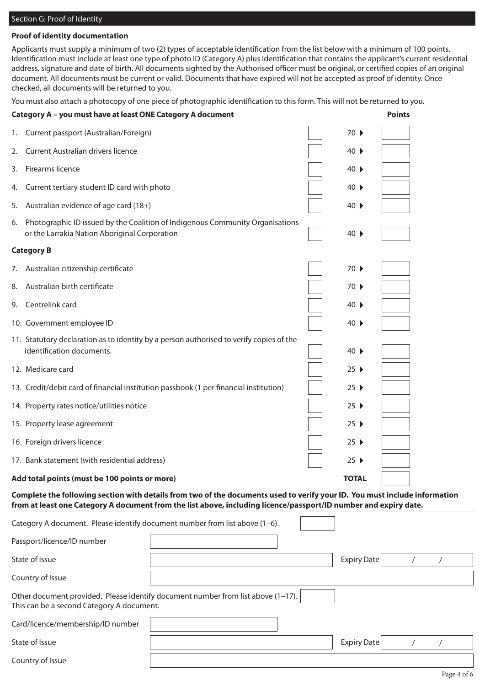#### Section G: Proof of Identity

#### **Proof of identity documentation**

Applicants must supply a minimum of two (2) types of acceptable identification from the list below with a minimum of 100 points. Identification must include at least one type of photo ID (Category A) plus identification that contains the applicant's current residential address, signature and date of birth. All documents sighted by the Authorised officer must be original, or certified copies of an original document. All documents must be current or valid. Documents that have expired will not be accepted as proof of identity. Once checked, all documents will be returned to you.

You must also attach a photocopy of one piece of photographic identification to this form. This will not be returned to you.

| Current passport (Australian/Foreign)<br>1.<br><b>Current Australian drivers licence</b><br>2.<br>Firearms licence<br>3.<br>Current tertiary student ID card with photo<br>4.<br>Australian evidence of age card (18+)<br>5.<br>Photographic ID issued by the Coalition of Indigenous Community Organisations<br>6.<br>or the Larrakia Nation Aboriginal Corporation<br><b>Category B</b><br>Australian citizenship certificate<br>7.<br>Australian birth certificate<br>8.<br>Centrelink card<br>9.<br>10. Government employee ID<br>11. Statutory declaration as to identity by a person authorised to verify copies of the<br>identification documents. | 70 ▶<br>40 ▶<br>40 ▶<br>40 ▶<br>40 ▶ |  |
|------------------------------------------------------------------------------------------------------------------------------------------------------------------------------------------------------------------------------------------------------------------------------------------------------------------------------------------------------------------------------------------------------------------------------------------------------------------------------------------------------------------------------------------------------------------------------------------------------------------------------------------------------------|--------------------------------------|--|
|                                                                                                                                                                                                                                                                                                                                                                                                                                                                                                                                                                                                                                                            |                                      |  |
|                                                                                                                                                                                                                                                                                                                                                                                                                                                                                                                                                                                                                                                            |                                      |  |
|                                                                                                                                                                                                                                                                                                                                                                                                                                                                                                                                                                                                                                                            |                                      |  |
|                                                                                                                                                                                                                                                                                                                                                                                                                                                                                                                                                                                                                                                            |                                      |  |
|                                                                                                                                                                                                                                                                                                                                                                                                                                                                                                                                                                                                                                                            |                                      |  |
|                                                                                                                                                                                                                                                                                                                                                                                                                                                                                                                                                                                                                                                            | 40 ▶                                 |  |
|                                                                                                                                                                                                                                                                                                                                                                                                                                                                                                                                                                                                                                                            |                                      |  |
|                                                                                                                                                                                                                                                                                                                                                                                                                                                                                                                                                                                                                                                            | 70 ▶                                 |  |
|                                                                                                                                                                                                                                                                                                                                                                                                                                                                                                                                                                                                                                                            | 70 ▶                                 |  |
|                                                                                                                                                                                                                                                                                                                                                                                                                                                                                                                                                                                                                                                            | 40 ▶                                 |  |
|                                                                                                                                                                                                                                                                                                                                                                                                                                                                                                                                                                                                                                                            | 40 ▶                                 |  |
|                                                                                                                                                                                                                                                                                                                                                                                                                                                                                                                                                                                                                                                            | $40 \blacktriangleright$             |  |
| 12. Medicare card                                                                                                                                                                                                                                                                                                                                                                                                                                                                                                                                                                                                                                          | $25 \triangleright$                  |  |
| 13. Credit/debit card of financial institution passbook (1 per financial institution)                                                                                                                                                                                                                                                                                                                                                                                                                                                                                                                                                                      | 25                                   |  |
| 14. Property rates notice/utilities notice                                                                                                                                                                                                                                                                                                                                                                                                                                                                                                                                                                                                                 | 25                                   |  |
| 15. Property lease agreement                                                                                                                                                                                                                                                                                                                                                                                                                                                                                                                                                                                                                               | $25 \triangleright$                  |  |
| 16. Foreign drivers licence                                                                                                                                                                                                                                                                                                                                                                                                                                                                                                                                                                                                                                | $25 \triangleright$                  |  |
| 17. Bank statement (with residential address)                                                                                                                                                                                                                                                                                                                                                                                                                                                                                                                                                                                                              | 25                                   |  |
| Add total points (must be 100 points or more)                                                                                                                                                                                                                                                                                                                                                                                                                                                                                                                                                                                                              | <b>TOTAL</b>                         |  |
| Complete the following section with details from two of the documents used to verify your ID. You must include information<br>from at least one Category A document from the list above, including licence/passport/ID number and expiry date.<br>Catogory A document Place identify document number from list above (1.6)                                                                                                                                                                                                                                                                                                                                 |                                      |  |

| Category A document. Flease identity document number non-list above (1-0). |                                                                                  |             |  |  |
|----------------------------------------------------------------------------|----------------------------------------------------------------------------------|-------------|--|--|
| Passport/licence/ID number                                                 |                                                                                  |             |  |  |
| State of Issue                                                             |                                                                                  | Expiry Date |  |  |
| Country of Issue                                                           |                                                                                  |             |  |  |
| This can be a second Category A document.                                  | Other document provided. Please identify document number from list above (1-17). |             |  |  |
| Card/licence/membership/ID number                                          |                                                                                  |             |  |  |
| State of Issue                                                             |                                                                                  | Expiry Date |  |  |
| Country of Issue                                                           |                                                                                  |             |  |  |

Page 4 of 6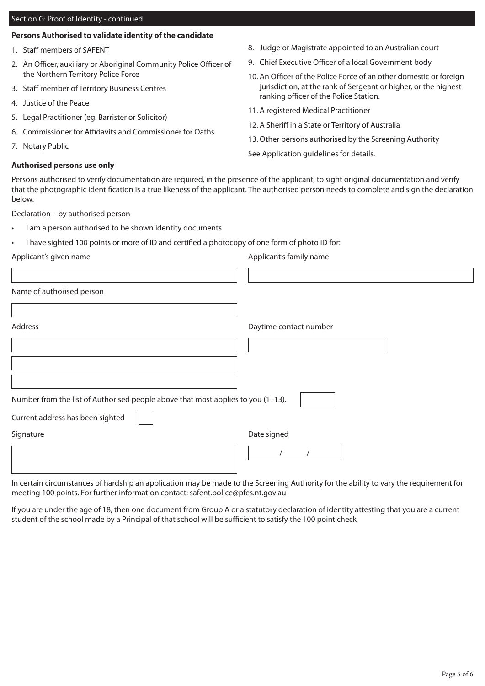#### Section G: Proof of Identity - continued

#### **Persons Authorised to validate identity of the candidate**

- 1. Staff members of SAFENT
- 2. An Officer, auxiliary or Aboriginal Community Police Officer of the Northern Territory Police Force
- 3. Staff member of Territory Business Centres
- 4. Justice of the Peace
- 5. Legal Practitioner (eg. Barrister or Solicitor)
- 6. Commissioner for Affidavits and Commissioner for Oaths
- 7. Notary Public

#### **Authorised persons use only**

- 8. Judge or Magistrate appointed to an Australian court
- 9. Chief Executive Officer of a local Government body
- 10. An Officer of the Police Force of an other domestic or foreign jurisdiction, at the rank of Sergeant or higher, or the highest ranking officer of the Police Station.
- 11. A registered Medical Practitioner
- 12. A Sheriff in a State or Territory of Australia
- 13. Other persons authorised by the Screening Authority

See Application guidelines for details.

Persons authorised to verify documentation are required, in the presence of the applicant, to sight original documentation and verify that the photographic identification is a true likeness of the applicant. The authorised person needs to complete and sign the declaration below.

Declaration – by authorised person

- I am a person authorised to be shown identity documents
- I have sighted 100 points or more of ID and certified a photocopy of one form of photo ID for:

Applicant's given name and a state of the Applicant's family name

| Name of authorised person                                                        |                        |
|----------------------------------------------------------------------------------|------------------------|
| Address                                                                          | Daytime contact number |
|                                                                                  |                        |
|                                                                                  |                        |
| Number from the list of Authorised people above that most applies to you (1-13). |                        |
| Current address has been sighted                                                 |                        |
| Signature                                                                        | Date signed            |
|                                                                                  |                        |

In certain circumstances of hardship an application may be made to the Screening Authority for the ability to vary the requirement for meeting 100 points. For further information contact: safent.police@pfes.nt.gov.au

If you are under the age of 18, then one document from Group A or a statutory declaration of identity attesting that you are a current student of the school made by a Principal of that school will be sufficient to satisfy the 100 point check